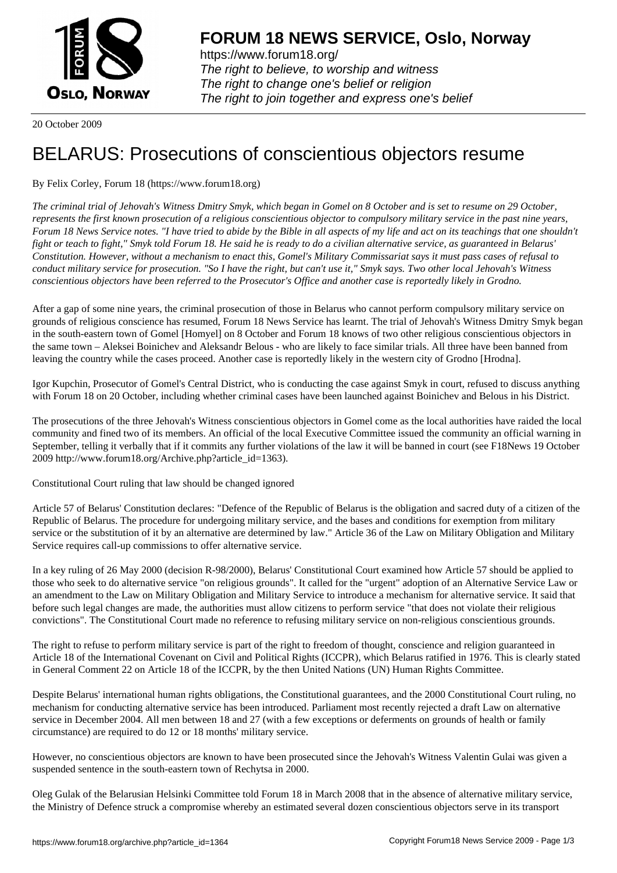

https://www.forum18.org/ The right to believe, to worship and witness The right to change one's belief or religion [The right to join together a](https://www.forum18.org/)nd express one's belief

20 October 2009

## [BELARUS: Pro](https://www.forum18.org)secutions of conscientious objectors resume

## By Felix Corley, Forum 18 (https://www.forum18.org)

*The criminal trial of Jehovah's Witness Dmitry Smyk, which began in Gomel on 8 October and is set to resume on 29 October, represents the first known prosecution of a religious conscientious objector to compulsory military service in the past nine years, Forum 18 News Service notes. "I have tried to abide by the Bible in all aspects of my life and act on its teachings that one shouldn't fight or teach to fight," Smyk told Forum 18. He said he is ready to do a civilian alternative service, as guaranteed in Belarus' Constitution. However, without a mechanism to enact this, Gomel's Military Commissariat says it must pass cases of refusal to conduct military service for prosecution. "So I have the right, but can't use it," Smyk says. Two other local Jehovah's Witness conscientious objectors have been referred to the Prosecutor's Office and another case is reportedly likely in Grodno.*

After a gap of some nine years, the criminal prosecution of those in Belarus who cannot perform compulsory military service on grounds of religious conscience has resumed, Forum 18 News Service has learnt. The trial of Jehovah's Witness Dmitry Smyk began in the south-eastern town of Gomel [Homyel] on 8 October and Forum 18 knows of two other religious conscientious objectors in the same town – Aleksei Boinichev and Aleksandr Belous - who are likely to face similar trials. All three have been banned from leaving the country while the cases proceed. Another case is reportedly likely in the western city of Grodno [Hrodna].

Igor Kupchin, Prosecutor of Gomel's Central District, who is conducting the case against Smyk in court, refused to discuss anything with Forum 18 on 20 October, including whether criminal cases have been launched against Boinichev and Belous in his District.

The prosecutions of the three Jehovah's Witness conscientious objectors in Gomel come as the local authorities have raided the local community and fined two of its members. An official of the local Executive Committee issued the community an official warning in September, telling it verbally that if it commits any further violations of the law it will be banned in court (see F18News 19 October 2009 http://www.forum18.org/Archive.php?article\_id=1363).

Constitutional Court ruling that law should be changed ignored

Article 57 of Belarus' Constitution declares: "Defence of the Republic of Belarus is the obligation and sacred duty of a citizen of the Republic of Belarus. The procedure for undergoing military service, and the bases and conditions for exemption from military service or the substitution of it by an alternative are determined by law." Article 36 of the Law on Military Obligation and Military Service requires call-up commissions to offer alternative service.

In a key ruling of 26 May 2000 (decision R-98/2000), Belarus' Constitutional Court examined how Article 57 should be applied to those who seek to do alternative service "on religious grounds". It called for the "urgent" adoption of an Alternative Service Law or an amendment to the Law on Military Obligation and Military Service to introduce a mechanism for alternative service. It said that before such legal changes are made, the authorities must allow citizens to perform service "that does not violate their religious convictions". The Constitutional Court made no reference to refusing military service on non-religious conscientious grounds.

The right to refuse to perform military service is part of the right to freedom of thought, conscience and religion guaranteed in Article 18 of the International Covenant on Civil and Political Rights (ICCPR), which Belarus ratified in 1976. This is clearly stated in General Comment 22 on Article 18 of the ICCPR, by the then United Nations (UN) Human Rights Committee.

Despite Belarus' international human rights obligations, the Constitutional guarantees, and the 2000 Constitutional Court ruling, no mechanism for conducting alternative service has been introduced. Parliament most recently rejected a draft Law on alternative service in December 2004. All men between 18 and 27 (with a few exceptions or deferments on grounds of health or family circumstance) are required to do 12 or 18 months' military service.

However, no conscientious objectors are known to have been prosecuted since the Jehovah's Witness Valentin Gulai was given a suspended sentence in the south-eastern town of Rechytsa in 2000.

Oleg Gulak of the Belarusian Helsinki Committee told Forum 18 in March 2008 that in the absence of alternative military service, the Ministry of Defence struck a compromise whereby an estimated several dozen conscientious objectors serve in its transport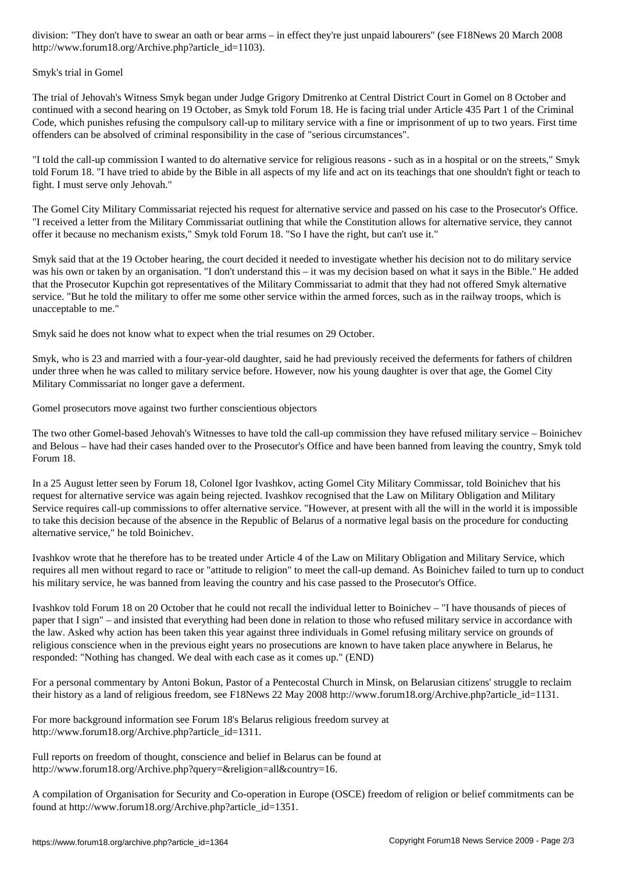http://www.forum18.org/Archive.php?article\_id=1103).

## Smyk's trial in Gomel

The trial of Jehovah's Witness Smyk began under Judge Grigory Dmitrenko at Central District Court in Gomel on 8 October and continued with a second hearing on 19 October, as Smyk told Forum 18. He is facing trial under Article 435 Part 1 of the Criminal Code, which punishes refusing the compulsory call-up to military service with a fine or imprisonment of up to two years. First time offenders can be absolved of criminal responsibility in the case of "serious circumstances".

"I told the call-up commission I wanted to do alternative service for religious reasons - such as in a hospital or on the streets," Smyk told Forum 18. "I have tried to abide by the Bible in all aspects of my life and act on its teachings that one shouldn't fight or teach to fight. I must serve only Jehovah."

The Gomel City Military Commissariat rejected his request for alternative service and passed on his case to the Prosecutor's Office. "I received a letter from the Military Commissariat outlining that while the Constitution allows for alternative service, they cannot offer it because no mechanism exists," Smyk told Forum 18. "So I have the right, but can't use it."

Smyk said that at the 19 October hearing, the court decided it needed to investigate whether his decision not to do military service was his own or taken by an organisation. "I don't understand this – it was my decision based on what it says in the Bible." He added that the Prosecutor Kupchin got representatives of the Military Commissariat to admit that they had not offered Smyk alternative service. "But he told the military to offer me some other service within the armed forces, such as in the railway troops, which is unacceptable to me."

Smyk said he does not know what to expect when the trial resumes on 29 October.

Smyk, who is 23 and married with a four-year-old daughter, said he had previously received the deferments for fathers of children under three when he was called to military service before. However, now his young daughter is over that age, the Gomel City Military Commissariat no longer gave a deferment.

Gomel prosecutors move against two further conscientious objectors

The two other Gomel-based Jehovah's Witnesses to have told the call-up commission they have refused military service – Boinichev and Belous – have had their cases handed over to the Prosecutor's Office and have been banned from leaving the country, Smyk told Forum 18.

In a 25 August letter seen by Forum 18, Colonel Igor Ivashkov, acting Gomel City Military Commissar, told Boinichev that his request for alternative service was again being rejected. Ivashkov recognised that the Law on Military Obligation and Military Service requires call-up commissions to offer alternative service. "However, at present with all the will in the world it is impossible to take this decision because of the absence in the Republic of Belarus of a normative legal basis on the procedure for conducting alternative service," he told Boinichev.

Ivashkov wrote that he therefore has to be treated under Article 4 of the Law on Military Obligation and Military Service, which requires all men without regard to race or "attitude to religion" to meet the call-up demand. As Boinichev failed to turn up to conduct his military service, he was banned from leaving the country and his case passed to the Prosecutor's Office.

Ivashkov told Forum 18 on 20 October that he could not recall the individual letter to Boinichev – "I have thousands of pieces of paper that I sign" – and insisted that everything had been done in relation to those who refused military service in accordance with the law. Asked why action has been taken this year against three individuals in Gomel refusing military service on grounds of religious conscience when in the previous eight years no prosecutions are known to have taken place anywhere in Belarus, he responded: "Nothing has changed. We deal with each case as it comes up." (END)

For a personal commentary by Antoni Bokun, Pastor of a Pentecostal Church in Minsk, on Belarusian citizens' struggle to reclaim their history as a land of religious freedom, see F18News 22 May 2008 http://www.forum18.org/Archive.php?article\_id=1131.

For more background information see Forum 18's Belarus religious freedom survey at http://www.forum18.org/Archive.php?article\_id=1311.

Full reports on freedom of thought, conscience and belief in Belarus can be found at http://www.forum18.org/Archive.php?query=&religion=all&country=16.

A compilation of Organisation for Security and Co-operation in Europe (OSCE) freedom of religion or belief commitments can be found at http://www.forum18.org/Archive.php?article\_id=1351.